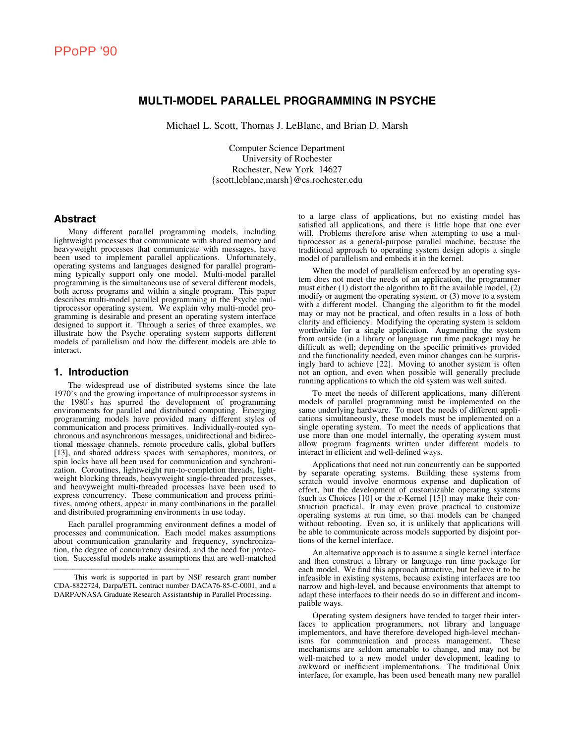# **MULTI-MODEL PARALLEL PROGRAMMING IN PSYCHE**

Michael L. Scott, Thomas J. LeBlanc, and Brian D. Marsh

Computer Science Department University of Rochester Rochester, New York 14627 {scott,leblanc,marsh}@cs.rochester.edu

# **Abstract**

Many different parallel programming models, including lightweight processes that communicate with shared memory and heavyweight processes that communicate with messages, have been used to implement parallel applications. Unfortunately, operating systems and languages designed for parallel programming typically support only one model. Multi-model parallel programming is the simultaneous use of several different models, both across programs and within a single program. This paper describes multi-model parallel programming in the Psyche multiprocessor operating system. We explain why multi-model programming is desirable and present an operating system interface designed to support it. Through a series of three examples, we illustrate how the Psyche operating system supports different models of parallelism and how the different models are able to interact.

### **1. Introduction**

The widespread use of distributed systems since the late 1970's and the growing importance of multiprocessor systems in the 1980's has spurred the development of programming environments for parallel and distributed computing. Emerging programming models have provided many different styles of communication and process primitives. Individually-routed synchronous and asynchronous messages, unidirectional and bidirectional message channels, remote procedure calls, global buffers [13], and shared address spaces with semaphores, monitors, or spin locks have all been used for communication and synchronization. Coroutines, lightweight run-to-completion threads, lightweight blocking threads, heavyweight single-threaded processes, and heavyweight multi-threaded processes have been used to express concurrency. These communication and process primitives, among others, appear in many combinations in the parallel and distributed programming environments in use today.

Each parallel programming environment defines a model of processes and communication. Each model makes assumptions about communication granularity and frequency, synchronization, the degree of concurrency desired, and the need for protection. Successful models make assumptions that are well-matched

<u> 2000 - Andrea Andrew Maria (h. 1878).</u>

to a large class of applications, but no existing model has satisfied all applications, and there is little hope that one ever will. Problems therefore arise when attempting to use a multiprocessor as a general-purpose parallel machine, because the traditional approach to operating system design adopts a single model of parallelism and embeds it in the kernel.

When the model of parallelism enforced by an operating system does not meet the needs of an application, the programmer must either (1) distort the algorithm to fit the available model, (2) modify or augment the operating system, or (3) move to a system with a different model. Changing the algorithm to fit the model may or may not be practical, and often results in a loss of both clarity and efficiency. Modifying the operating system is seldom worthwhile for a single application. Augmenting the system from outside (in a library or language run time package) may be difficult as well; depending on the specific primitives provided and the functionality needed, even minor changes can be surprisingly hard to achieve [22]. Moving to another system is often not an option, and even when possible will generally preclude running applications to which the old system was well suited.

To meet the needs of different applications, many different models of parallel programming must be implemented on the same underlying hardware. To meet the needs of different applications simultaneously, these models must be implemented on a single operating system. To meet the needs of applications that use more than one model internally, the operating system must allow program fragments written under different models to interact in efficient and well-defined ways.

Applications that need not run concurrently can be supported by separate operating systems. Building these systems from scratch would involve enormous expense and duplication of effort, but the development of customizable operating systems (such as Choices [10] or the *x*-Kernel [15]) may make their construction practical. It may even prove practical to customize operating systems at run time, so that models can be changed without rebooting. Even so, it is unlikely that applications will be able to communicate across models supported by disjoint portions of the kernel interface.

An alternative approach is to assume a single kernel interface and then construct a library or language run time package for each model. We find this approach attractive, but believe it to be infeasible in existing systems, because existing interfaces are too narrow and high-level, and because environments that attempt to adapt these interfaces to their needs do so in different and incompatible ways.

Operating system designers have tended to target their interfaces to application programmers, not library and language implementors, and have therefore developed high-level mechanisms for communication and process management. These mechanisms are seldom amenable to change, and may not be well-matched to a new model under development, leading to awkward or inefficient implementations. The traditional Unix interface, for example, has been used beneath many new parallel

This work is supported in part by NSF research grant number CDA-8822724, Darpa/ETL contract number DACA76-85-C-0001, and a DARPA/NASA Graduate Research Assistantship in Parallel Processing.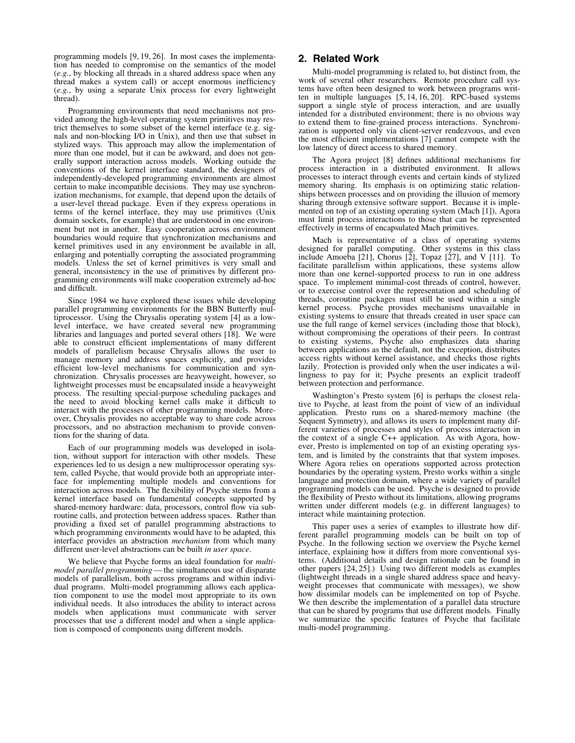programming models [9, 19, 26]. In most cases the implementation has needed to compromise on the semantics of the model (*e.g.*, by blocking all threads in a shared address space when any thread makes a system call) or accept enormous inefficiency (*e.g.*, by using a separate Unix process for every lightweight thread).

Programming environments that need mechanisms not provided among the high-level operating system primitives may restrict themselves to some subset of the kernel interface (e.g. signals and non-blocking I/O in Unix), and then use that subset in stylized ways. This approach may allow the implementation of more than one model, but it can be awkward, and does not generally support interaction across models. Working outside the conventions of the kernel interface standard, the designers of independently-developed programming environments are almost certain to make incompatible decisions. They may use synchronization mechanisms, for example, that depend upon the details of a user-level thread package. Even if they express operations in terms of the kernel interface, they may use primitives (Unix domain sockets, for example) that are understood in one environment but not in another. Easy cooperation across environment boundaries would require that synchronization mechanisms and kernel primitives used in any environment be available in all, enlarging and potentially corrupting the associated programming models. Unless the set of kernel primitives is very small and general, inconsistency in the use of primitives by different programming environments will make cooperation extremely ad-hoc and difficult.

Since 1984 we have explored these issues while developing parallel programming environments for the BBN Butterfly multiprocessor. Using the Chrysalis operating system [4] as a lowlevel interface, we have created several new programming libraries and languages and ported several others [18]. We were able to construct efficient implementations of many different models of parallelism because Chrysalis allows the user to manage memory and address spaces explicitly, and provides efficient low-level mechanisms for communication and synchronization. Chrysalis processes are heavyweight, however, so lightweight processes must be encapsulated inside a heavyweight process. The resulting special-purpose scheduling packages and the need to avoid blocking kernel calls make it difficult to interact with the processes of other programming models. Moreover, Chrysalis provides no acceptable way to share code across processors, and no abstraction mechanism to provide conventions for the sharing of data.

Each of our programming models was developed in isolation, without support for interaction with other models. These experiences led to us design a new multiprocessor operating system, called Psyche, that would provide both an appropriate interface for implementing multiple models and conventions for interaction across models. The flexibility of Psyche stems from a kernel interface based on fundamental concepts supported by shared-memory hardware: data, processors, control flow via subroutine calls, and protection between address spaces. Rather than providing a fixed set of parallel programming abstractions to which programming environments would have to be adapted, this interface provides an abstraction *mechanism* from which many different user-level abstractions can be built *in user space*.

We believe that Psyche forms an ideal foundation for *multimodel parallel programming*— the simultaneous use of disparate models of parallelism, both across programs and within individual programs. Multi-model programming allows each application component to use the model most appropriate to its own individual needs. It also introduces the ability to interact across models when applications must communicate with server processes that use a different model and when a single application is composed of components using different models.

# **2. Related Work**

Multi-model programming is related to, but distinct from, the work of several other researchers. Remote procedure call systems have often been designed to work between programs written in multiple languages [5, 14, 16, 20]. RPC-based systems support a single style of process interaction, and are usually intended for a distributed environment; there is no obvious way to extend them to fine-grained process interactions. Synchronization is supported only via client-server rendezvous, and even the most efficient implementations [7] cannot compete with the low latency of direct access to shared memory.

The Agora project [8] defines additional mechanisms for process interaction in a distributed environment. It allows processes to interact through events and certain kinds of stylized memory sharing. Its emphasis is on optimizing static relationships between processes and on providing the illusion of memory sharing through extensive software support. Because it is implemented on top of an existing operating system (Mach [1]), Agora must limit process interactions to those that can be represented effectively in terms of encapsulated Mach primitives.

Mach is representative of a class of operating systems designed for parallel computing. Other systems in this class include Amoeba [21], Chorus [2], Topaz [27], and V [11]. To facilitate parallelism within applications, these systems allow more than one kernel-supported process to run in one address space. To implement minimal-cost threads of control, however, or to exercise control over the representation and scheduling of threads, coroutine packages must still be used within a single kernel process. Psyche provides mechanisms unavailable in existing systems to ensure that threads created in user space can use the full range of kernel services (including those that block), without compromising the operations of their peers. In contrast to existing systems, Psyche also emphasizes data sharing between applications as the default, not the exception, distributes access rights without kernel assistance, and checks those rights lazily. Protection is provided only when the user indicates a willingness to pay for it; Psyche presents an explicit tradeoff between protection and performance.

Washington's Presto system [6] is perhaps the closest relative to Psyche, at least from the point of view of an individual application. Presto runs on a shared-memory machine (the Sequent Symmetry), and allows its users to implement many different varieties of processes and styles of process interaction in the context of a single C++ application. As with Agora, however, Presto is implemented on top of an existing operating system, and is limited by the constraints that that system imposes. Where Agora relies on operations supported across protection boundaries by the operating system, Presto works within a single language and protection domain, where a wide variety of parallel programming models can be used. Psyche is designed to provide the flexibility of Presto without its limitations, allowing programs written under different models (e.g. in different languages) to interact while maintaining protection.

This paper uses a series of examples to illustrate how different parallel programming models can be built on top of Psyche. In the following section we overview the Psyche kernel interface, explaining how it differs from more conventional systems. (Additional details and design rationale can be found in other papers [24, 25].) Using two different models as examples (lightweight threads in a single shared address space and heavyweight processes that communicate with messages), we show how dissimilar models can be implemented on top of Psyche. We then describe the implementation of a parallel data structure that can be shared by programs that use different models. Finally we summarize the specific features of Psyche that facilitate multi-model programming.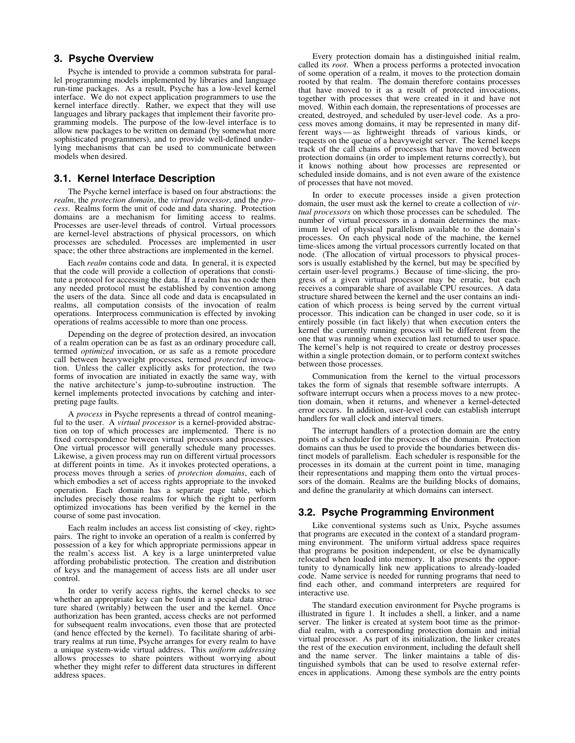### **3. Psyche Overview**

Psyche is intended to provide a common substrata for parallel programming models implemented by libraries and language run-time packages. As a result, Psyche has a low-level kernel interface. We do not expect application programmers to use the kernel interface directly. Rather, we expect that they will use languages and library packages that implement their favorite programming models. The purpose of the low-level interface is to allow new packages to be written on demand (by somewhat more sophisticated programmers), and to provide well-defined underlying mechanisms that can be used to communicate between models when desired.

# **3.1. Kernel Interface Description**

The Psyche kernel interface is based on four abstractions: the *realm*, the *protection domain*, the *virtual processor*, and the *process*. Realms form the unit of code and data sharing. Protection domains are a mechanism for limiting access to realms. Processes are user-level threads of control. Virtual processors are kernel-level abstractions of physical processors, on which processes are scheduled. Processes are implemented in user space; the other three abstractions are implemented in the kernel.

Each *realm* contains code and data. In general, it is expected that the code will provide a collection of operations that constitute a protocol for accessing the data. If a realm has no code then any needed protocol must be established by convention among the users of the data. Since all code and data is encapsulated in realms, all computation consists of the invocation of realm operations. Interprocess communication is effected by invoking operations of realms accessible to more than one process.

Depending on the degree of protection desired, an invocation of a realm operation can be as fast as an ordinary procedure call, termed *optimized* invocation, or as safe as a remote procedure call between heavyweight processes, termed *protected* invocation. Unless the caller explicitly asks for protection, the two forms of invocation are initiated in exactly the same way, with the native architecture's jump-to-subroutine instruction. The kernel implements protected invocations by catching and interpreting page faults.

A *process* in Psyche represents a thread of control meaningful to the user. A *virtual processor* is a kernel-provided abstraction on top of which processes are implemented. There is no fixed correspondence between virtual processors and processes. One virtual processor will generally schedule many processes. Likewise, a given process may run on different virtual processors at different points in time. As it invokes protected operations, a process moves through a series of *protection domains*, each of which embodies a set of access rights appropriate to the invoked operation. Each domain has a separate page table, which includes precisely those realms for which the right to perform optimized invocations has been verified by the kernel in the course of some past invocation.

Each realm includes an access list consisting of  $\langle \text{key}, \text{right} \rangle$ pairs. The right to invoke an operation of a realm is conferred by possession of a key for which appropriate permissions appear in the realm's access list. A key is a large uninterpreted value affording probabilistic protection. The creation and distribution of keys and the management of access lists are all under user control.

In order to verify access rights, the kernel checks to see whether an appropriate key can be found in a special data structure shared (writably) between the user and the kernel. Once authorization has been granted, access checks are not performed for subsequent realm invocations, even those that are protected (and hence effected by the kernel). To facilitate sharing of arbitrary realms at run time, Psyche arranges for every realm to have a unique system-wide virtual address. This *uniform addressing* allows processes to share pointers without worrying about whether they might refer to different data structures in different address spaces.

Every protection domain has a distinguished initial realm, called its *root*. When a process performs a protected invocation of some operation of a realm, it moves to the protection domain rooted by that realm. The domain therefore contains processes that have moved to it as a result of protected invocations, together with processes that were created in it and have not moved. Within each domain, the representations of processes are created, destroyed, and scheduled by user-level code. As a process moves among domains, it may be represented in many different ways — as lightweight threads of various kinds, or requests on the queue of a heavyweight server. The kernel keeps track of the call chains of processes that have moved between protection domains (in order to implement returns correctly), but it knows nothing about how processes are represented or scheduled inside domains, and is not even aware of the existence of processes that have not moved.

In order to execute processes inside a given protection domain, the user must ask the kernel to create a collection of *virtual processors* on which those processes can be scheduled. The number of virtual processors in a domain determines the maximum level of physical parallelism available to the domain's processes. On each physical node of the machine, the kernel time-slices among the virtual processors currently located on that node. (The allocation of virtual processors to physical processors is usually established by the kernel, but may be specified by certain user-level programs.) Because of time-slicing, the progress of a given virtual processor may be erratic, but each receives a comparable share of available CPU resources. A data structure shared between the kernel and the user contains an indication of which process is being served by the current virtual processor. This indication can be changed in user code, so it is entirely possible (in fact likely) that when execution enters the kernel the currently running process will be different from the one that was running when execution last returned to user space. The kernel's help is not required to create or destroy processes within a single protection domain, or to perform context switches between those processes.

Communication from the kernel to the virtual processors takes the form of signals that resemble software interrupts. A software interrupt occurs when a process moves to a new protection domain, when it returns, and whenever a kernel-detected error occurs. In addition, user-level code can establish interrupt handlers for wall clock and interval timers.

The interrupt handlers of a protection domain are the entry points of a scheduler for the processes of the domain. Protection domains can thus be used to provide the boundaries between distinct models of parallelism. Each scheduler is responsible for the processes in its domain at the current point in time, managing their representations and mapping them onto the virtual processors of the domain. Realms are the building blocks of domains, and define the granularity at which domains can intersect.

# **3.2. Psyche Programming Environment**

Like conventional systems such as Unix, Psyche assumes that programs are executed in the context of a standard programming environment. The uniform virtual address space requires that programs be position independent, or else be dynamically relocated when loaded into memory. It also presents the opportunity to dynamically link new applications to already-loaded code. Name service is needed for running programs that need to find each other, and command interpreters are required for interactive use.

The standard execution environment for Psyche programs is illustrated in figure 1. It includes a shell, a linker, and a name server. The linker is created at system boot time as the primordial realm, with a corresponding protection domain and initial virtual processor. As part of its initialization, the linker creates the rest of the execution environment, including the default shell and the name server. The linker maintains a table of distinguished symbols that can be used to resolve external references in applications. Among these symbols are the entry points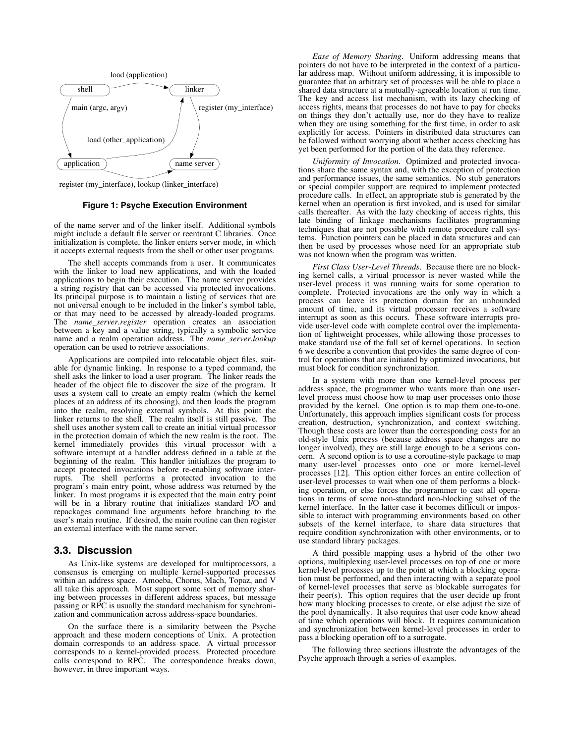

register (my\_interface), lookup (linker\_interface)

#### **Figure 1: Psyche Execution Environment**

of the name server and of the linker itself. Additional symbols might include a default file server or reentrant C libraries. Once initialization is complete, the linker enters server mode, in which it accepts external requests from the shell or other user programs.

The shell accepts commands from a user. It communicates with the linker to load new applications, and with the loaded applications to begin their execution. The name server provides a string registry that can be accessed via protected invocations. Its principal purpose is to maintain a listing of services that are not universal enough to be included in the linker's symbol table, or that may need to be accessed by already-loaded programs. The *name\_server.register* operation creates an association between a key and a value string, typically a symbolic service name and a realm operation address. The *name\_server.lookup* operation can be used to retrieve associations.

Applications are compiled into relocatable object files, suitable for dynamic linking. In response to a typed command, the shell asks the linker to load a user program. The linker reads the header of the object file to discover the size of the program. It uses a system call to create an empty realm (which the kernel places at an address of its choosing), and then loads the program into the realm, resolving external symbols. At this point the linker returns to the shell. The realm itself is still passive. The shell uses another system call to create an initial virtual processor in the protection domain of which the new realm is the root. The kernel immediately provides this virtual processor with a software interrupt at a handler address defined in a table at the beginning of the realm. This handler initializes the program to accept protected invocations before re-enabling software interrupts. The shell performs a protected invocation to the program's main entry point, whose address was returned by the linker. In most programs it is expected that the main entry point will be in a library routine that initializes standard I/O and repackages command line arguments before branching to the user's main routine. If desired, the main routine can then register an external interface with the name server.

### **3.3. Discussion**

As Unix-like systems are developed for multiprocessors, a consensus is emerging on multiple kernel-supported processes within an address space. Amoeba, Chorus, Mach, Topaz, and V all take this approach. Most support some sort of memory sharing between processes in different address spaces, but message passing or RPC is usually the standard mechanism for synchronization and communication across address-space boundaries.

On the surface there is a similarity between the Psyche approach and these modern conceptions of Unix. A protection domain corresponds to an address space. A virtual processor corresponds to a kernel-provided process. Protected procedure calls correspond to RPC. The correspondence breaks down, however, in three important ways.

*Ease of Memory Sharing*. Uniform addressing means that pointers do not have to be interpreted in the context of a particular address map. Without uniform addressing, it is impossible to guarantee that an arbitrary set of processes will be able to place a shared data structure at a mutually-agreeable location at run time. The key and access list mechanism, with its lazy checking of access rights, means that processes do not have to pay for checks on things they don't actually use, nor do they have to realize when they are using something for the first time, in order to ask explicitly for access. Pointers in distributed data structures can be followed without worrying about whether access checking has yet been performed for the portion of the data they reference.

*Uniformity of Invocation*. Optimized and protected invocations share the same syntax and, with the exception of protection and performance issues, the same semantics. No stub generators or special compiler support are required to implement protected procedure calls. In effect, an appropriate stub is generated by the kernel when an operation is first invoked, and is used for similar calls thereafter. As with the lazy checking of access rights, this late binding of linkage mechanisms facilitates programming techniques that are not possible with remote procedure call systems. Function pointers can be placed in data structures and can then be used by processes whose need for an appropriate stub was not known when the program was written.

*First Class User-Level Threads*. Because there are no blocking kernel calls, a virtual processor is never wasted while the user-level process it was running waits for some operation to complete. Protected invocations are the only way in which a process can leave its protection domain for an unbounded amount of time, and its virtual processor receives a software interrupt as soon as this occurs. These software interrupts provide user-level code with complete control over the implementation of lightweight processes, while allowing those processes to make standard use of the full set of kernel operations. In section 6 we describe a convention that provides the same degree of control for operations that are initiated by optimized invocations, but must block for condition synchronization.

In a system with more than one kernel-level process per address space, the programmer who wants more than one userlevel process must choose how to map user processes onto those provided by the kernel. One option is to map them one-to-one. Unfortunately, this approach implies significant costs for process creation, destruction, synchronization, and context switching. Though these costs are lower than the corresponding costs for an old-style Unix process (because address space changes are no longer involved), they are still large enough to be a serious concern. A second option is to use a coroutine-style package to map many user-level processes onto one or more kernel-level processes [12]. This option either forces an entire collection of user-level processes to wait when one of them performs a blocking operation, or else forces the programmer to cast all operations in terms of some non-standard non-blocking subset of the kernel interface. In the latter case it becomes difficult or impossible to interact with programming environments based on other subsets of the kernel interface, to share data structures that require condition synchronization with other environments, or to use standard library packages.

A third possible mapping uses a hybrid of the other two options, multiplexing user-level processes on top of one or more kernel-level processes up to the point at which a blocking operation must be performed, and then interacting with a separate pool of kernel-level processes that serve as blockable surrogates for their peer(s). This option requires that the user decide up front how many blocking processes to create, or else adjust the size of the pool dynamically. It also requires that user code know ahead of time which operations will block. It requires communication and synchronization between kernel-level processes in order to pass a blocking operation off to a surrogate.

The following three sections illustrate the advantages of the Psyche approach through a series of examples.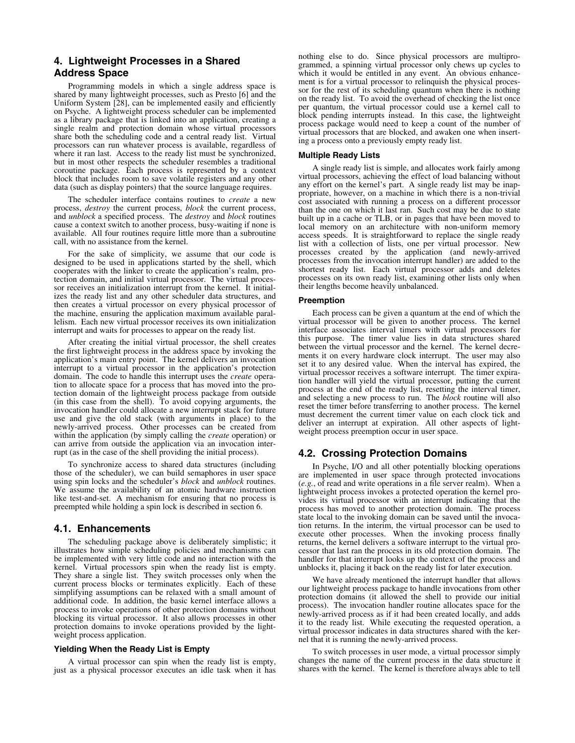# **4. Lightweight Processes in a Shared Address Space**

Programming models in which a single address space is shared by many lightweight processes, such as Presto [6] and the Uniform System [28], can be implemented easily and efficiently on Psyche. A lightweight process scheduler can be implemented as a library package that is linked into an application, creating a single realm and protection domain whose virtual processors share both the scheduling code and a central ready list. Virtual processors can run whatever process is available, regardless of where it ran last. Access to the ready list must be synchronized, but in most other respects the scheduler resembles a traditional coroutine package. Each process is represented by a context block that includes room to save volatile registers and any other data (such as display pointers) that the source language requires.

The scheduler interface contains routines to *create* a new process, *destroy* the current process, *block* the current process, and *unblock* a specified process. The *destroy* and *block* routines cause a context switch to another process, busy-waiting if none is available. All four routines require little more than a subroutine call, with no assistance from the kernel.

For the sake of simplicity, we assume that our code is designed to be used in applications started by the shell, which cooperates with the linker to create the application's realm, protection domain, and initial virtual processor. The virtual processor receives an initialization interrupt from the kernel. It initializes the ready list and any other scheduler data structures, and then creates a virtual processor on every physical processor of the machine, ensuring the application maximum available parallelism. Each new virtual processor receives its own initialization interrupt and waits for processes to appear on the ready list.

After creating the initial virtual processor, the shell creates the first lightweight process in the address space by invoking the application's main entry point. The kernel delivers an invocation interrupt to a virtual processor in the application's protection domain. The code to handle this interrupt uses the *create* operation to allocate space for a process that has moved into the protection domain of the lightweight process package from outside (in this case from the shell). To avoid copying arguments, the invocation handler could allocate a new interrupt stack for future use and give the old stack (with arguments in place) to the newly-arrived process. Other processes can be created from within the application (by simply calling the *create* operation) or can arrive from outside the application via an invocation interrupt (as in the case of the shell providing the initial process).

To synchronize access to shared data structures (including those of the scheduler), we can build semaphores in user space using spin locks and the scheduler's *block* and *unblock* routines. We assume the availability of an atomic hardware instruction like test-and-set. A mechanism for ensuring that no process is preempted while holding a spin lock is described in section 6.

# **4.1. Enhancements**

The scheduling package above is deliberately simplistic; it illustrates how simple scheduling policies and mechanisms can be implemented with very little code and no interaction with the kernel. Virtual processors spin when the ready list is empty. They share a single list. They switch processes only when the current process blocks or terminates explicitly. Each of these simplifying assumptions can be relaxed with a small amount of additional code. In addition, the basic kernel interface allows a process to invoke operations of other protection domains without blocking its virtual processor. It also allows processes in other protection domains to invoke operations provided by the lightweight process application.

### **Yielding When the Ready List is Empty**

A virtual processor can spin when the ready list is empty, just as a physical processor executes an idle task when it has nothing else to do. Since physical processors are multiprogrammed, a spinning virtual processor only chews up cycles to which it would be entitled in any event. An obvious enhancement is for a virtual processor to relinquish the physical processor for the rest of its scheduling quantum when there is nothing on the ready list. To avoid the overhead of checking the list once per quantum, the virtual processor could use a kernel call to block pending interrupts instead. In this case, the lightweight process package would need to keep a count of the number of virtual processors that are blocked, and awaken one when inserting a process onto a previously empty ready list.

#### **Multiple Ready Lists**

A single ready list is simple, and allocates work fairly among virtual processors, achieving the effect of load balancing without any effort on the kernel's part. A single ready list may be inappropriate, however, on a machine in which there is a non-trivial cost associated with running a process on a different processor than the one on which it last ran. Such cost may be due to state built up in a cache or TLB, or in pages that have been moved to local memory on an architecture with non-uniform memory access speeds. It is straightforward to replace the single ready list with a collection of lists, one per virtual processor. New processes created by the application (and newly-arrived processes from the invocation interrupt handler) are added to the shortest ready list. Each virtual processor adds and deletes processes on its own ready list, examining other lists only when their lengths become heavily unbalanced.

### **Preemption**

Each process can be given a quantum at the end of which the virtual processor will be given to another process. The kernel interface associates interval timers with virtual processors for this purpose. The timer value lies in data structures shared between the virtual processor and the kernel. The kernel decrements it on every hardware clock interrupt. The user may also set it to any desired value. When the interval has expired, the virtual processor receives a software interrupt. The timer expiration handler will yield the virtual processor, putting the current process at the end of the ready list, resetting the interval timer, and selecting a new process to run. The *block* routine will also reset the timer before transferring to another process. The kernel must decrement the current timer value on each clock tick and deliver an interrupt at expiration. All other aspects of lightweight process preemption occur in user space.

### **4.2. Crossing Protection Domains**

In Psyche, I/O and all other potentially blocking operations are implemented in user space through protected invocations (*e.g.*, of read and write operations in a file server realm). When a lightweight process invokes a protected operation the kernel provides its virtual processor with an interrupt indicating that the process has moved to another protection domain. The process state local to the invoking domain can be saved until the invocation returns. In the interim, the virtual processor can be used to execute other processes. When the invoking process finally returns, the kernel delivers a software interrupt to the virtual processor that last ran the process in its old protection domain. The handler for that interrupt looks up the context of the process and unblocks it, placing it back on the ready list for later execution.

We have already mentioned the interrupt handler that allows our lightweight process package to handle invocations from other protection domains (it allowed the shell to provide our initial process). The invocation handler routine allocates space for the newly-arrived process as if it had been created locally, and adds it to the ready list. While executing the requested operation, a virtual processor indicates in data structures shared with the kernel that it is running the newly-arrived process.

To switch processes in user mode, a virtual processor simply changes the name of the current process in the data structure it shares with the kernel. The kernel is therefore always able to tell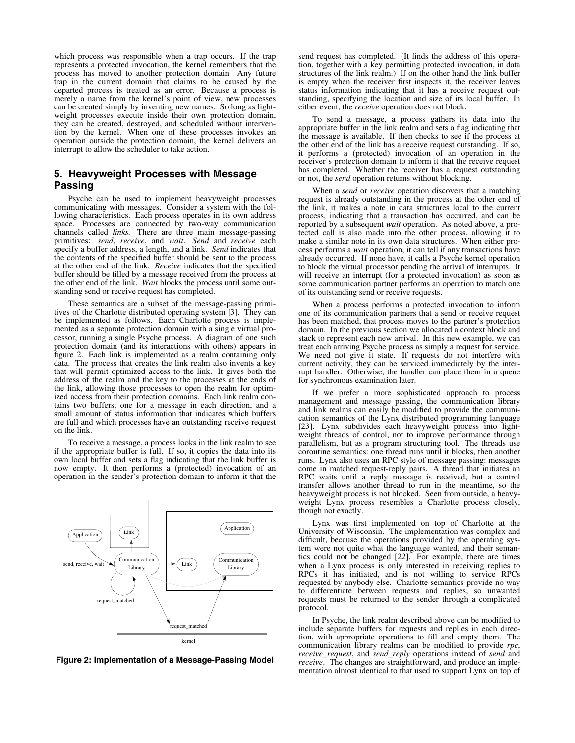which process was responsible when a trap occurs. If the trap represents a protected invocation, the kernel remembers that the process has moved to another protection domain. Any future trap in the current domain that claims to be caused by the departed process is treated as an error. Because a process is merely a name from the kernel's point of view, new processes can be created simply by inventing new names. So long as lightweight processes execute inside their own protection domain, they can be created, destroyed, and scheduled without intervention by the kernel. When one of these processes invokes an operation outside the protection domain, the kernel delivers an interrupt to allow the scheduler to take action.

# **5. Heavyweight Processes with Message Passing**

Psyche can be used to implement heavyweight processes communicating with messages. Consider a system with the following characteristics. Each process operates in its own address space. Processes are connected by two-way communication channels called *links.* There are three main message-passing primitives: *send*, *receive*, and *wait*. *Send* and *receive* each specify a buffer address, a length, and a link. *Send* indicates that the contents of the specified buffer should be sent to the process at the other end of the link. *Receive* indicates that the specified buffer should be filled by a message received from the process at the other end of the link. *Wait* blocks the process until some outstanding send or receive request has completed.

These semantics are a subset of the message-passing primitives of the Charlotte distributed operating system [3]. They can be implemented as follows. Each Charlotte process is implemented as a separate protection domain with a single virtual processor, running a single Psyche process. A diagram of one such protection domain (and its interactions with others) appears in figure 2. Each link is implemented as a realm containing only data. The process that creates the link realm also invents a key that will permit optimized access to the link. It gives both the address of the realm and the key to the processes at the ends of the link, allowing those processes to open the realm for optimized access from their protection domains. Each link realm contains two buffers, one for a message in each direction, and a small amount of status information that indicates which buffers are full and which processes have an outstanding receive request on the link.

To receive a message, a process looks in the link realm to see if the appropriate buffer is full. If so, it copies the data into its own local buffer and sets a flag indicating that the link buffer is now empty. It then performs a (protected) invocation of an operation in the sender's protection domain to inform it that the



**Figure 2: Implementation of a Message-Passing Model**

send request has completed. (It finds the address of this operation, together with a key permitting protected invocation, in data structures of the link realm.) If on the other hand the link buffer is empty when the receiver first inspects it, the receiver leaves status information indicating that it has a receive request outstanding, specifying the location and size of its local buffer. In either event, the *receive* operation does not block.

To send a message, a process gathers its data into the appropriate buffer in the link realm and sets a flag indicating that the message is available. If then checks to see if the process at the other end of the link has a receive request outstanding. If so, it performs a (protected) invocation of an operation in the receiver's protection domain to inform it that the receive request has completed. Whether the receiver has a request outstanding or not, the *send* operation returns without blocking.

When a *send* or *receive* operation discovers that a matching request is already outstanding in the process at the other end of the link, it makes a note in data structures local to the current process, indicating that a transaction has occurred, and can be reported by a subsequent *wait* operation. As noted above, a protected call is also made into the other process, allowing it to make a similar note in its own data structures. When either process performs a *wait* operation, it can tell if any transactions have already occurred. If none have, it calls a Psyche kernel operation to block the virtual processor pending the arrival of interrupts. It will receive an interrupt (for a protected invocation) as soon as some communication partner performs an operation to match one of its outstanding send or receive requests.

When a process performs a protected invocation to inform one of its communication partners that a send or receive request has been matched, that process moves to the partner's protection domain. In the previous section we allocated a context block and stack to represent each new arrival. In this new example, we can treat each arriving Psyche process as simply a request for service. We need not give it state. If requests do not interfere with current activity, they can be serviced immediately by the interrupt handler. Otherwise, the handler can place them in a queue for synchronous examination later.

If we prefer a more sophisticated approach to process management and message passing, the communication library and link realms can easily be modified to provide the communication semantics of the Lynx distributed programming language [23]. Lynx subdivides each heavyweight process into lightweight threads of control, not to improve performance through parallelism, but as a program structuring tool. The threads use coroutine semantics: one thread runs until it blocks, then another runs. Lynx also uses an RPC style of message passing: messages come in matched request-reply pairs. A thread that initiates an RPC waits until a reply message is received, but a control transfer allows another thread to run in the meantime, so the heavyweight process is not blocked. Seen from outside, a heavyweight Lynx process resembles a Charlotte process closely, though not exactly.

Lynx was first implemented on top of Charlotte at the University of Wisconsin. The implementation was complex and difficult, because the operations provided by the operating system were not quite what the language wanted, and their semantics could not be changed [22]. For example, there are times when a Lynx process is only interested in receiving replies to RPCs it has initiated, and is not willing to service RPCs requested by anybody else. Charlotte semantics provide no way to differentiate between requests and replies, so unwanted requests must be returned to the sender through a complicated protocol.

In Psyche, the link realm described above can be modified to include separate buffers for requests and replies in each direction, with appropriate operations to fill and empty them. The communication library realms can be modified to provide *rpc*, *receive\_request*, and *send\_reply* operations instead of *send* and *receive*. The changes are straightforward, and produce an implementation almost identical to that used to support Lynx on top of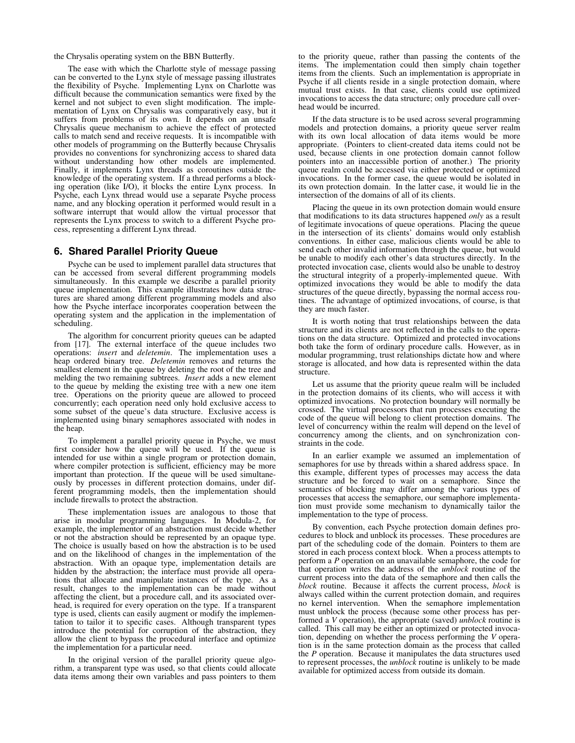the Chrysalis operating system on the BBN Butterfly.

The ease with which the Charlotte style of message passing can be converted to the Lynx style of message passing illustrates the flexibility of Psyche. Implementing Lynx on Charlotte was difficult because the communication semantics were fixed by the kernel and not subject to even slight modification. The implementation of Lynx on Chrysalis was comparatively easy, but it suffers from problems of its own. It depends on an unsafe Chrysalis queue mechanism to achieve the effect of protected calls to match send and receive requests. It is incompatible with other models of programming on the Butterfly because Chrysalis provides no conventions for synchronizing access to shared data without understanding how other models are implemented. Finally, it implements Lynx threads as coroutines outside the knowledge of the operating system. If a thread performs a blocking operation (like I/O), it blocks the entire Lynx process. In Psyche, each Lynx thread would use a separate Psyche process name, and any blocking operation it performed would result in a software interrupt that would allow the virtual processor that represents the Lynx process to switch to a different Psyche process, representing a different Lynx thread.

### **6. Shared Parallel Priority Queue**

Psyche can be used to implement parallel data structures that can be accessed from several different programming models simultaneously. In this example we describe a parallel priority queue implementation. This example illustrates how data structures are shared among different programming models and also how the Psyche interface incorporates cooperation between the operating system and the application in the implementation of scheduling.

The algorithm for concurrent priority queues can be adapted from [17]. The external interface of the queue includes two operations: *insert* and *deletemin*. The implementation uses a heap ordered binary tree. *Deletemin* removes and returns the smallest element in the queue by deleting the root of the tree and melding the two remaining subtrees. *Insert* adds a new element to the queue by melding the existing tree with a new one item tree. Operations on the priority queue are allowed to proceed concurrently; each operation need only hold exclusive access to some subset of the queue's data structure. Exclusive access is implemented using binary semaphores associated with nodes in the heap.

To implement a parallel priority queue in Psyche, we must first consider how the queue will be used. If the queue is intended for use within a single program or protection domain, where compiler protection is sufficient, efficiency may be more important than protection. If the queue will be used simultaneously by processes in different protection domains, under different programming models, then the implementation should include firewalls to protect the abstraction.

These implementation issues are analogous to those that arise in modular programming languages. In Modula-2, for example, the implementor of an abstraction must decide whether or not the abstraction should be represented by an opaque type. The choice is usually based on how the abstraction is to be used and on the likelihood of changes in the implementation of the abstraction. With an opaque type, implementation details are hidden by the abstraction; the interface must provide all operations that allocate and manipulate instances of the type. As a result, changes to the implementation can be made without affecting the client, but a procedure call, and its associated overhead, is required for every operation on the type. If a transparent type is used, clients can easily augment or modify the implementation to tailor it to specific cases. Although transparent types introduce the potential for corruption of the abstraction, they allow the client to bypass the procedural interface and optimize the implementation for a particular need.

In the original version of the parallel priority queue algorithm, a transparent type was used, so that clients could allocate data items among their own variables and pass pointers to them to the priority queue, rather than passing the contents of the items. The implementation could then simply chain together items from the clients. Such an implementation is appropriate in Psyche if all clients reside in a single protection domain, where mutual trust exists. In that case, clients could use optimized invocations to access the data structure; only procedure call overhead would be incurred.

If the data structure is to be used across several programming models and protection domains, a priority queue server realm with its own local allocation of data items would be more appropriate. (Pointers to client-created data items could not be used, because clients in one protection domain cannot follow pointers into an inaccessible portion of another.) The priority queue realm could be accessed via either protected or optimized invocations. In the former case, the queue would be isolated in its own protection domain. In the latter case, it would lie in the intersection of the domains of all of its clients.

Placing the queue in its own protection domain would ensure that modifications to its data structures happened *only* as a result of legitimate invocations of queue operations. Placing the queue in the intersection of its clients' domains would only establish conventions. In either case, malicious clients would be able to send each other invalid information through the queue, but would be unable to modify each other's data structures directly. In the protected invocation case, clients would also be unable to destroy the structural integrity of a properly-implemented queue. With optimized invocations they would be able to modify the data structures of the queue directly, bypassing the normal access routines. The advantage of optimized invocations, of course, is that they are much faster.

It is worth noting that trust relationships between the data structure and its clients are not reflected in the calls to the operations on the data structure. Optimized and protected invocations both take the form of ordinary procedure calls. However, as in modular programming, trust relationships dictate how and where storage is allocated, and how data is represented within the data structure.

Let us assume that the priority queue realm will be included in the protection domains of its clients, who will access it with optimized invocations. No protection boundary will normally be crossed. The virtual processors that run processes executing the code of the queue will belong to client protection domains. The level of concurrency within the realm will depend on the level of concurrency among the clients, and on synchronization constraints in the code.

In an earlier example we assumed an implementation of semaphores for use by threads within a shared address space. In this example, different types of processes may access the data structure and be forced to wait on a semaphore. Since the semantics of blocking may differ among the various types of processes that access the semaphore, our semaphore implementation must provide some mechanism to dynamically tailor the implementation to the type of process.

By convention, each Psyche protection domain defines procedures to block and unblock its processes. These procedures are part of the scheduling code of the domain. Pointers to them are stored in each process context block. When a process attempts to perform a *P* operation on an unavailable semaphore, the code for that operation writes the address of the *unblock* routine of the current process into the data of the semaphore and then calls the *block* routine. Because it affects the current process, *block* is always called within the current protection domain, and requires no kernel intervention. When the semaphore implementation must unblock the process (because some other process has performed a *V* operation), the appropriate (saved) *unblock* routine is called. This call may be either an optimized or protected invocation, depending on whether the process performing the *V* operation is in the same protection domain as the process that called the *P* operation. Because it manipulates the data structures used to represent processes, the *unblock* routine is unlikely to be made available for optimized access from outside its domain.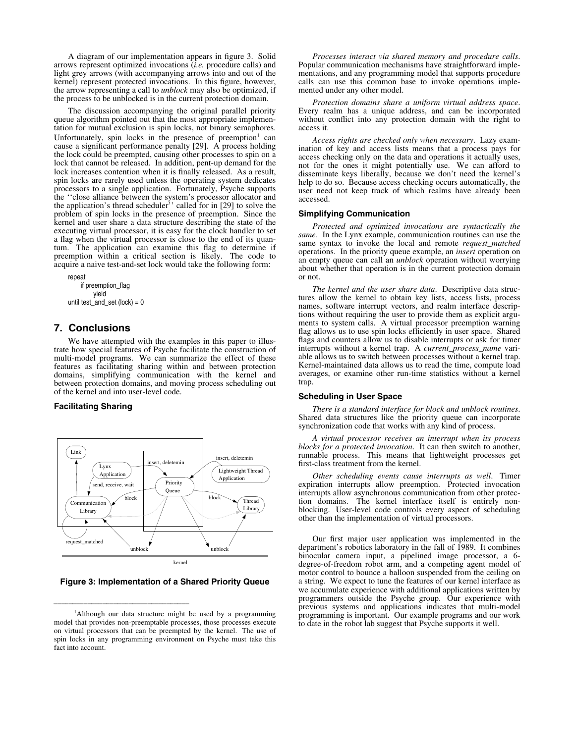A diagram of our implementation appears in figure 3. Solid arrows represent optimized invocations (*i.e.* procedure calls) and light grey arrows (with accompanying arrows into and out of the kernel) represent protected invocations. In this figure, however, the arrow representing a call to *unblock* may also be optimized, if the process to be unblocked is in the current protection domain.

The discussion accompanying the original parallel priority queue algorithm pointed out that the most appropriate implementation for mutual exclusion is spin locks, not binary semaphores. Unfortunately, spin locks in the presence of preemption $1$  can cause a significant performance penalty [29]. A process holding the lock could be preempted, causing other processes to spin on a lock that cannot be released. In addition, pent-up demand for the lock increases contention when it is finally released. As a result, spin locks are rarely used unless the operating system dedicates processors to a single application. Fortunately, Psyche supports the ''close alliance between the system's processor allocator and the application's thread scheduler'' called for in [29] to solve the problem of spin locks in the presence of preemption. Since the kernel and user share a data structure describing the state of the executing virtual processor, it is easy for the clock handler to set a flag when the virtual processor is close to the end of its quantum. The application can examine this flag to determine if preemption within a critical section is likely. The code to acquire a naive test-and-set lock would take the following form:

repeat

if preemption flag yield until test and set (lock) =  $0$ 

# **7. Conclusions**

We have attempted with the examples in this paper to illustrate how special features of Psyche facilitate the construction of multi-model programs. We can summarize the effect of these features as facilitating sharing within and between protection domains, simplifying communication with the kernel and between protection domains, and moving process scheduling out of the kernel and into user-level code.

### **Facilitating Sharing**





*Processes interact via shared memory and procedure calls*. Popular communication mechanisms have straightforward implementations, and any programming model that supports procedure calls can use this common base to invoke operations implemented under any other model.

*Protection domains share a uniform virtual address space*. Every realm has a unique address, and can be incorporated without conflict into any protection domain with the right to access it.

*Access rights are checked only when necessary*. Lazy examination of key and access lists means that a process pays for access checking only on the data and operations it actually uses, not for the ones it might potentially use. We can afford to disseminate keys liberally, because we don't need the kernel's help to do so. Because access checking occurs automatically, the user need not keep track of which realms have already been accessed.

#### **Simplifying Communication**

*Protected and optimized invocations are syntactically the same*. In the Lynx example, communication routines can use the same syntax to invoke the local and remote *request matched* operations. In the priority queue example, an *insert* operation on an empty queue can call an *unblock* operation without worrying about whether that operation is in the current protection domain or not.

*The kernel and the user share data*. Descriptive data structures allow the kernel to obtain key lists, access lists, process names, software interrupt vectors, and realm interface descriptions without requiring the user to provide them as explicit arguments to system calls. A virtual processor preemption warning flag allows us to use spin locks efficiently in user space. Shared flags and counters allow us to disable interrupts or ask for timer interrupts without a kernel trap. A *current\_process\_name* variable allows us to switch between processes without a kernel trap. Kernel-maintained data allows us to read the time, compute load averages, or examine other run-time statistics without a kernel trap.

### **Scheduling in User Space**

*There is a standard interface for block and unblock routines*. Shared data structures like the priority queue can incorporate synchronization code that works with any kind of process.

*A virtual processor receives an interrupt when its process blocks for a protected invocation*. It can then switch to another, runnable process. This means that lightweight processes get first-class treatment from the kernel.

*Other scheduling events cause interrupts as well*. Timer expiration interrupts allow preemption. Protected invocation interrupts allow asynchronous communication from other protection domains. The kernel interface itself is entirely nonblocking. User-level code controls every aspect of scheduling other than the implementation of virtual processors.

Our first major user application was implemented in the department's robotics laboratory in the fall of 1989. It combines binocular camera input, a pipelined image processor, a 6 degree-of-freedom robot arm, and a competing agent model of motor control to bounce a balloon suspended from the ceiling on a string. We expect to tune the features of our kernel interface as we accumulate experience with additional applications written by programmers outside the Psyche group. Our experience with previous systems and applications indicates that multi-model programming is important. Our example programs and our work to date in the robot lab suggest that Psyche supports it well.

<sup>&</sup>lt;sup>1</sup>Although our data structure might be used by a programming model that provides non-preemptable processes, those processes execute on virtual processors that can be preempted by the kernel. The use of spin locks in any programming environment on Psyche must take this fact into account.